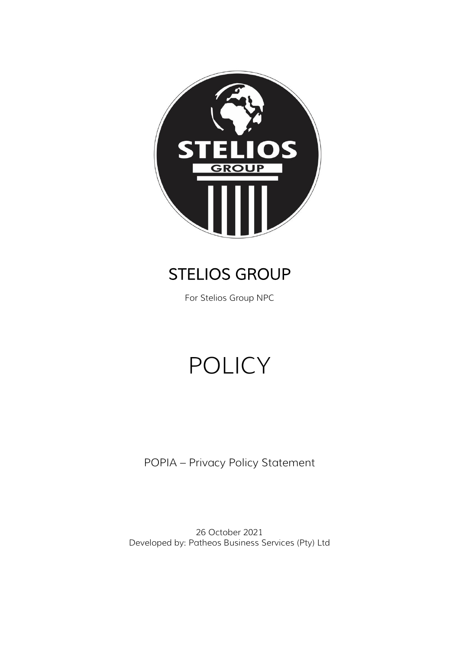

# STELIOS GROUP

For Stelios Group NPC

# POLICY

POPIA – Privacy Policy Statement

26 October 2021 Developed by: Patheos Business Services (Pty) Ltd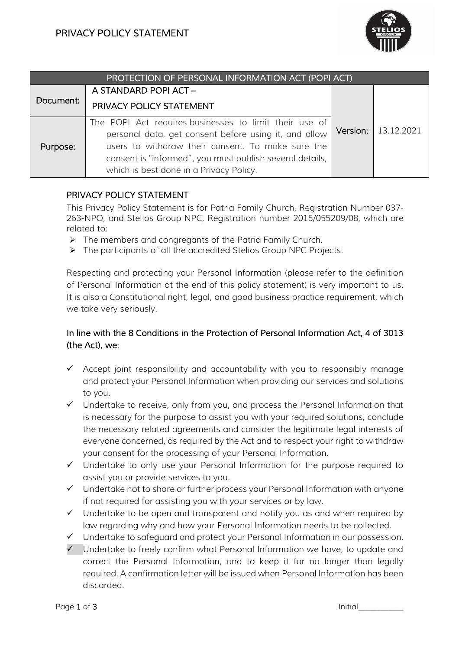

| PROTECTION OF PERSONAL INFORMATION ACT (POPI ACT) |                                                                                                                                                                                                                                                                             |  |                       |
|---------------------------------------------------|-----------------------------------------------------------------------------------------------------------------------------------------------------------------------------------------------------------------------------------------------------------------------------|--|-----------------------|
| Document:                                         | A STANDARD POPI ACT-                                                                                                                                                                                                                                                        |  |                       |
|                                                   | PRIVACY POLICY STATEMENT                                                                                                                                                                                                                                                    |  |                       |
| Purpose:                                          | The POPI Act requires businesses to limit their use of<br>personal data, get consent before using it, and allow<br>users to withdraw their consent. To make sure the<br>consent is "informed", you must publish several details,<br>which is best done in a Privacy Policy. |  | Version:   13.12.2021 |

#### PRIVACY POLICY STATEMENT

This Privacy Policy Statement is for Patria Family Church, Registration Number 037- 263-NPO, and Stelios Group NPC, Registration number 2015/055209/08, which are related to:

- ➢ The members and congregants of the Patria Family Church.
- ➢ The participants of all the accredited Stelios Group NPC Projects.

Respecting and protecting your Personal Information (please refer to the definition of Personal Information at the end of this policy statement) is very important to us. It is also a Constitutional right, legal, and good business practice requirement, which we take very seriously.

## In line with the 8 Conditions in the Protection of Personal Information Act, 4 of 3013 (the Act), we:

- ✓ Accept joint responsibility and accountability with you to responsibly manage and protect your Personal Information when providing our services and solutions to you.
- ✓ Undertake to receive, only from you, and process the Personal Information that is necessary for the purpose to assist you with your required solutions, conclude the necessary related agreements and consider the legitimate legal interests of everyone concerned, as required by the Act and to respect your right to withdraw your consent for the processing of your Personal Information.
- ✓ Undertake to only use your Personal Information for the purpose required to assist you or provide services to you.
- ✓ Undertake not to share or further process your Personal Information with anyone if not required for assisting you with your services or by law.
- $\checkmark$  Undertake to be open and transparent and notify you as and when required by law regarding why and how your Personal Information needs to be collected.
- ✓ Undertake to safeguard and protect your Personal Information in our possession.
- ✓ Undertake to freely confirm what Personal Information we have, to update and correct the Personal Information, and to keep it for no longer than legally required. A confirmation letter will be issued when Personal Information has been discarded.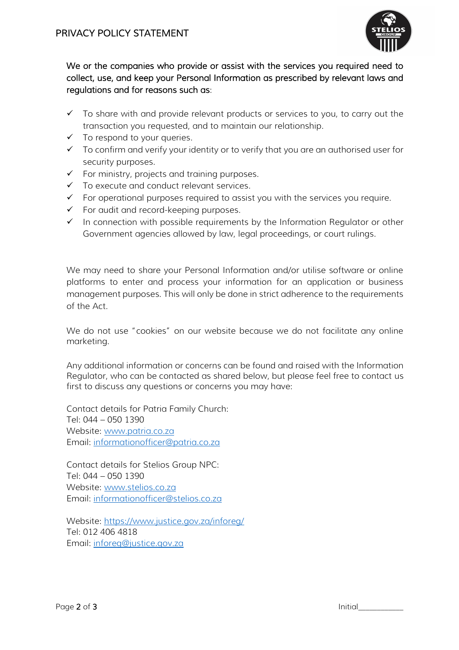

## We or the companies who provide or assist with the services you required need to collect, use, and keep your Personal Information as prescribed by relevant laws and regulations and for reasons such as:

- $\checkmark$  To share with and provide relevant products or services to you, to carry out the transaction you requested, and to maintain our relationship.
- $\checkmark$  To respond to your queries.
- ✓ To confirm and verify your identity or to verify that you are an authorised user for security purposes.
- $\checkmark$  For ministry, projects and training purposes.
- ✓ To execute and conduct relevant services.
- $\checkmark$  For operational purposes required to assist you with the services you require.
- ✓ For audit and record-keeping purposes.
- $\checkmark$  In connection with possible requirements by the Information Regulator or other Government agencies allowed by law, legal proceedings, or court rulings.

We may need to share your Personal Information and/or utilise software or online platforms to enter and process your information for an application or business management purposes. This will only be done in strict adherence to the requirements of the Act.

We do not use "cookies" on our website because we do not facilitate any online marketing.

Any additional information or concerns can be found and raised with the Information Regulator, who can be contacted as shared below, but please feel free to contact us first to discuss any questions or concerns you may have:

Contact details for Patria Family Church: Tel: 044 – 050 1390 Website: [www.patria.co.za](http://www.patria.co.za/) Email: [informationofficer@patria.co.za](mailto:informationofficer@patria.co.za)

Contact details for Stelios Group NPC: Tel: 044 – 050 1390 Website: [www.stelios.co.za](http://www.stelios.co.za/) Email: [informationofficer@stelios.co.za](mailto:informationofficer@stelios.co.za)

Website:<https://www.justice.gov.za/inforeg/> Tel: 012 406 4818 Email: [inforeg@justice.gov.za](mailto:inforeg@justice.gov.za)